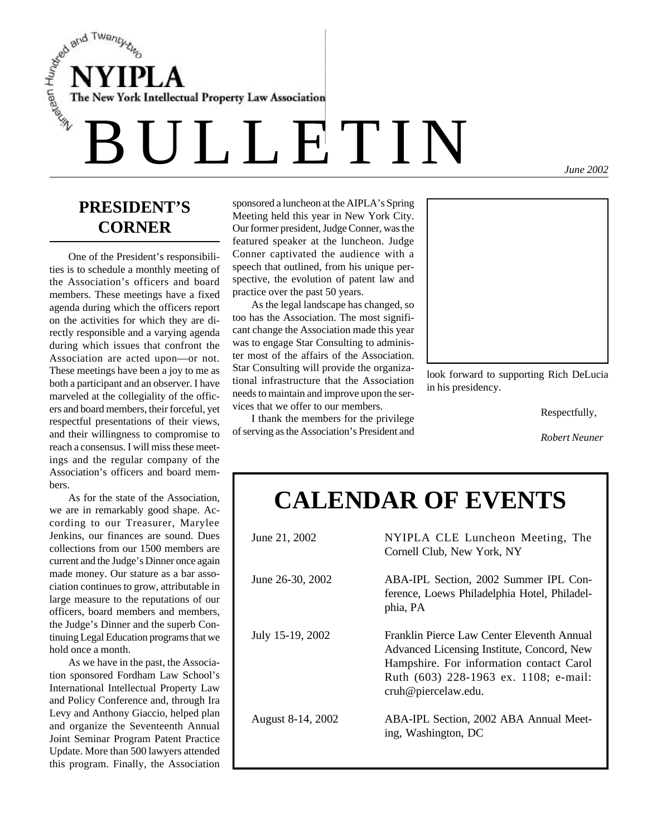$\begin{array}{cc}\n\frac{S}{\epsilon} & NNIPLA \\
\frac{S}{\epsilon} & The New York Intelligence \end{array}$ The New York Intellectual Property Law Association

*June 2002*

## **PRESIDENT'S CORNER**

One of the President's responsibilities is to schedule a monthly meeting of the Association's officers and board members. These meetings have a fixed agenda during which the officers report on the activities for which they are directly responsible and a varying agenda during which issues that confront the Association are acted upon—or not. These meetings have been a joy to me as both a participant and an observer. I have marveled at the collegiality of the officers and board members, their forceful, yet respectful presentations of their views, and their willingness to compromise to reach a consensus. I will miss these meetings and the regular company of the Association's officers and board members.

As for the state of the Association we are in remarkably good shape. According to our Treasurer, Marylee Jenkins, our finances are sound. Dues collections from our 1500 members are current and the Judge's Dinner once again made money. Our stature as a bar association continues to grow, attributable in large measure to the reputations of our officers, board members and members, the Judge's Dinner and the superb Continuing Legal Education programs that we hold once a month.

As we have in the past, the Association sponsored Fordham Law School's International Intellectual Property Law and Policy Conference and, through Ira Levy and Anthony Giaccio, helped plan and organize the Seventeenth Annual Joint Seminar Program Patent Practice Update. More than 500 lawyers attended this program. Finally, the Association

sponsored a luncheon at the AIPLA's Spring Meeting held this year in New York City. Our former president, Judge Conner, was the featured speaker at the luncheon. Judge Conner captivated the audience with a speech that outlined, from his unique perspective, the evolution of patent law and practice over the past 50 years.

As the legal landscape has changed, so too has the Association. The most significant change the Association made this year was to engage Star Consulting to administer most of the affairs of the Association. Star Consulting will provide the organizational infrastructure that the Association needs to maintain and improve upon the services that we offer to our members.

I thank the members for the privilege of serving as the Association's President and



look forward to supporting Rich DeLucia in his presidency.

Respectfully,

*Robert Neuner*

# **CALENDAR OF EVENTS**

| June 21, 2002     | NYIPLA CLE Luncheon Meeting, The<br>Cornell Club, New York, NY                                                                                                                                       |
|-------------------|------------------------------------------------------------------------------------------------------------------------------------------------------------------------------------------------------|
| June 26-30, 2002  | ABA-IPL Section, 2002 Summer IPL Con-<br>ference, Loews Philadelphia Hotel, Philadel-<br>phia, PA                                                                                                    |
| July 15-19, 2002  | Franklin Pierce Law Center Eleventh Annual<br>Advanced Licensing Institute, Concord, New<br>Hampshire. For information contact Carol<br>Ruth (603) 228-1963 ex. 1108; e-mail:<br>cruh@piercelaw.edu. |
| August 8-14, 2002 | ABA-IPL Section, 2002 ABA Annual Meet-<br>ing, Washington, DC                                                                                                                                        |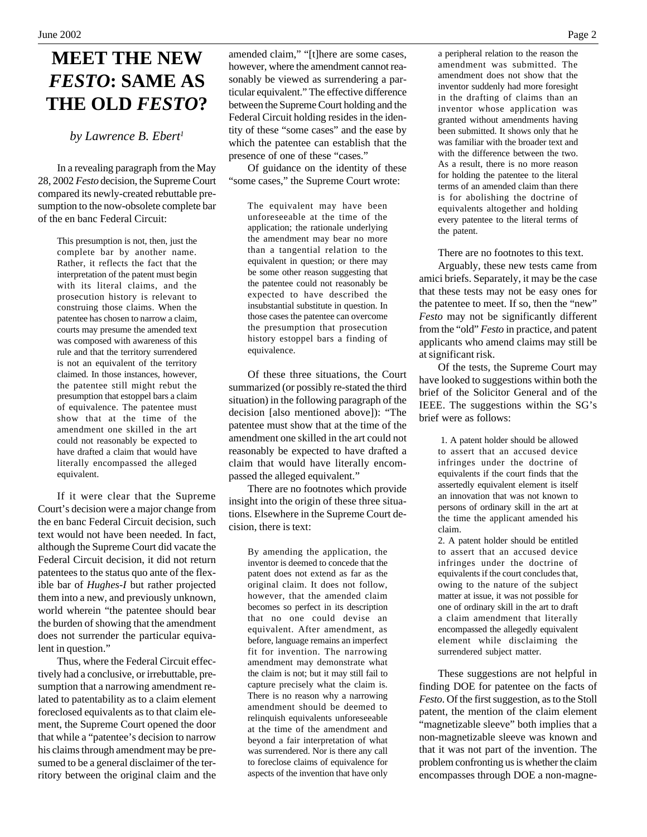## **MEET THE NEW** *FESTO***: SAME AS THE OLD** *FESTO***?**

*by Lawrence B. Ebert<sup>1</sup>*

In a revealing paragraph from the May 28, 2002 *Festo* decision, the Supreme Court compared its newly-created rebuttable presumption to the now-obsolete complete bar of the en banc Federal Circuit:

> This presumption is not, then, just the complete bar by another name. Rather, it reflects the fact that the interpretation of the patent must begin with its literal claims, and the prosecution history is relevant to construing those claims. When the patentee has chosen to narrow a claim, courts may presume the amended text was composed with awareness of this rule and that the territory surrendered is not an equivalent of the territory claimed. In those instances, however, the patentee still might rebut the presumption that estoppel bars a claim of equivalence. The patentee must show that at the time of the amendment one skilled in the art could not reasonably be expected to have drafted a claim that would have literally encompassed the alleged equivalent.

If it were clear that the Supreme Court's decision were a major change from the en banc Federal Circuit decision, such text would not have been needed. In fact, although the Supreme Court did vacate the Federal Circuit decision, it did not return patentees to the status quo ante of the flexible bar of *Hughes-I* but rather projected them into a new, and previously unknown, world wherein "the patentee should bear the burden of showing that the amendment does not surrender the particular equivalent in question."

Thus, where the Federal Circuit effectively had a conclusive, or irrebuttable, presumption that a narrowing amendment related to patentability as to a claim element foreclosed equivalents as to that claim element, the Supreme Court opened the door that while a "patentee's decision to narrow his claims through amendment may be presumed to be a general disclaimer of the territory between the original claim and the amended claim," "[t]here are some cases, however, where the amendment cannot reasonably be viewed as surrendering a particular equivalent." The effective difference between the Supreme Court holding and the Federal Circuit holding resides in the identity of these "some cases" and the ease by which the patentee can establish that the presence of one of these "cases."

Of guidance on the identity of these "some cases," the Supreme Court wrote:

The equivalent may have been unforeseeable at the time of the application; the rationale underlying the amendment may bear no more than a tangential relation to the equivalent in question; or there may be some other reason suggesting that the patentee could not reasonably be expected to have described the insubstantial substitute in question. In those cases the patentee can overcome the presumption that prosecution history estoppel bars a finding of equivalence.

Of these three situations, the Court summarized (or possibly re-stated the third situation) in the following paragraph of the decision [also mentioned above]): "The patentee must show that at the time of the amendment one skilled in the art could not reasonably be expected to have drafted a claim that would have literally encompassed the alleged equivalent."

There are no footnotes which provide insight into the origin of these three situations. Elsewhere in the Supreme Court decision, there is text:

By amending the application, the inventor is deemed to concede that the patent does not extend as far as the original claim. It does not follow, however, that the amended claim becomes so perfect in its description that no one could devise an equivalent. After amendment, as before, language remains an imperfect fit for invention. The narrowing amendment may demonstrate what the claim is not; but it may still fail to capture precisely what the claim is. There is no reason why a narrowing amendment should be deemed to relinquish equivalents unforeseeable at the time of the amendment and beyond a fair interpretation of what was surrendered. Nor is there any call to foreclose claims of equivalence for aspects of the invention that have only

a peripheral relation to the reason the amendment was submitted. The amendment does not show that the inventor suddenly had more foresight in the drafting of claims than an inventor whose application was granted without amendments having been submitted. It shows only that he was familiar with the broader text and with the difference between the two. As a result, there is no more reason for holding the patentee to the literal terms of an amended claim than there is for abolishing the doctrine of equivalents altogether and holding every patentee to the literal terms of the patent.

There are no footnotes to this text.

Arguably, these new tests came from amici briefs. Separately, it may be the case that these tests may not be easy ones for the patentee to meet. If so, then the "new" *Festo* may not be significantly different from the "old" *Festo* in practice, and patent applicants who amend claims may still be at significant risk.

Of the tests, the Supreme Court may have looked to suggestions within both the brief of the Solicitor General and of the IEEE. The suggestions within the SG's brief were as follows:

> 1. A patent holder should be allowed to assert that an accused device infringes under the doctrine of equivalents if the court finds that the assertedly equivalent element is itself an innovation that was not known to persons of ordinary skill in the art at the time the applicant amended his claim.

> 2. A patent holder should be entitled to assert that an accused device infringes under the doctrine of equivalents if the court concludes that, owing to the nature of the subject matter at issue, it was not possible for one of ordinary skill in the art to draft a claim amendment that literally encompassed the allegedly equivalent element while disclaiming the surrendered subject matter.

These suggestions are not helpful in finding DOE for patentee on the facts of *Festo*. Of the first suggestion, as to the Stoll patent, the mention of the claim element "magnetizable sleeve" both implies that a non-magnetizable sleeve was known and that it was not part of the invention. The problem confronting us is whether the claim encompasses through DOE a non-magne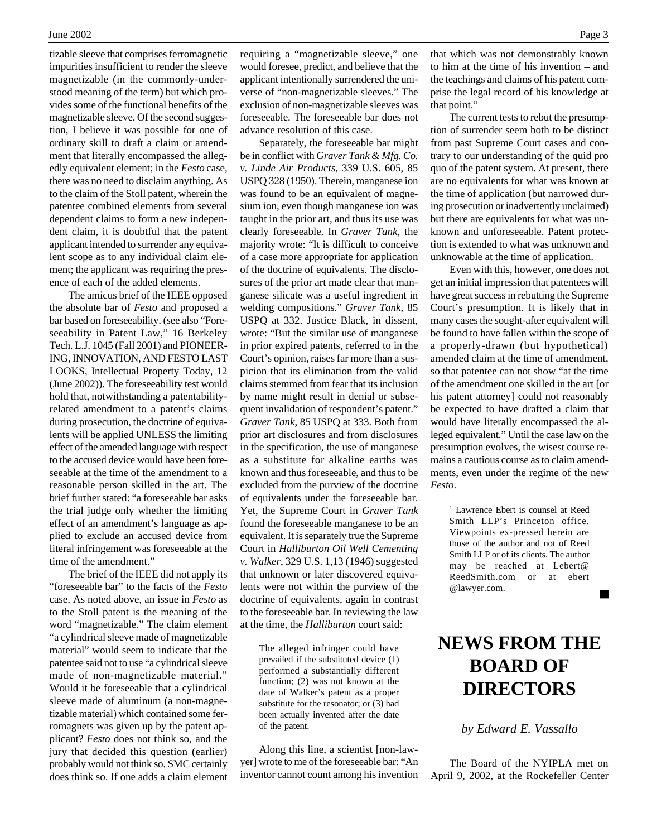tizable sleeve that comprises ferromagnetic impurities insufficient to render the sleeve magnetizable (in the commonly-understood meaning of the term) but which provides some of the functional benefits of the magnetizable sleeve. Of the second suggestion, I believe it was possible for one of ordinary skill to draft a claim or amendment that literally encompassed the allegedly equivalent element; in the *Festo* case, there was no need to disclaim anything. As to the claim of the Stoll patent, wherein the patentee combined elements from several dependent claims to form a new independent claim, it is doubtful that the patent applicant intended to surrender any equivalent scope as to any individual claim element; the applicant was requiring the presence of each of the added elements.

The amicus brief of the IEEE opposed the absolute bar of *Festo* and proposed a bar based on foreseeability. (see also "Foreseeability in Patent Law," 16 Berkeley Tech. L.J. 1045 (Fall 2001) and PIONEER-ING, INNOVATION, AND FESTO LAST LOOKS, Intellectual Property Today, 12 (June 2002)). The foreseeability test would hold that, notwithstanding a patentabilityrelated amendment to a patent's claims during prosecution, the doctrine of equivalents will be applied UNLESS the limiting effect of the amended language with respect to the accused device would have been foreseeable at the time of the amendment to a reasonable person skilled in the art. The brief further stated: "a foreseeable bar asks the trial judge only whether the limiting effect of an amendment's language as applied to exclude an accused device from literal infringement was foreseeable at the time of the amendment."

The brief of the IEEE did not apply its "foreseeable bar" to the facts of the *Festo* case. As noted above, an issue in *Festo* as to the Stoll patent is the meaning of the word "magnetizable." The claim element "a cylindrical sleeve made of magnetizable material" would seem to indicate that the patentee said not to use "a cylindrical sleeve made of non-magnetizable material." Would it be foreseeable that a cylindrical sleeve made of aluminum (a non-magnetizable material) which contained some ferromagnets was given up by the patent applicant? *Festo* does not think so, and the jury that decided this question (earlier) probably would not think so. SMC certainly does think so. If one adds a claim element requiring a "magnetizable sleeve," one would foresee, predict, and believe that the applicant intentionally surrendered the universe of "non-magnetizable sleeves." The exclusion of non-magnetizable sleeves was foreseeable. The foreseeable bar does not advance resolution of this case.

Separately, the foreseeable bar might be in conflict with *Graver Tank & Mfg. Co. v. Linde Air Products*, 339 U.S. 605, 85 USPQ 328 (1950). Therein, manganese ion was found to be an equivalent of magnesium ion, even though manganese ion was taught in the prior art, and thus its use was clearly foreseeable. In *Graver Tank*, the majority wrote: "It is difficult to conceive of a case more appropriate for application of the doctrine of equivalents. The disclosures of the prior art made clear that manganese silicate was a useful ingredient in welding compositions." *Graver Tank*, 85 USPQ at 332. Justice Black, in dissent, wrote: "But the similar use of manganese in prior expired patents, referred to in the Court's opinion, raises far more than a suspicion that its elimination from the valid claims stemmed from fear that its inclusion by name might result in denial or subsequent invalidation of respondent's patent." *Graver Tank*, 85 USPQ at 333. Both from prior art disclosures and from disclosures in the specification, the use of manganese as a substitute for alkaline earths was known and thus foreseeable, and thus to be excluded from the purview of the doctrine of equivalents under the foreseeable bar. Yet, the Supreme Court in *Graver Tank* found the foreseeable manganese to be an equivalent. It is separately true the Supreme Court in *Halliburton Oil Well Cementing v. Walker*, 329 U.S. 1,13 (1946) suggested that unknown or later discovered equivalents were not within the purview of the doctrine of equivalents, again in contrast to the foreseeable bar. In reviewing the law at the time, the *Halliburton* court said:

> The alleged infringer could have prevailed if the substituted device (1) performed a substantially different function; (2) was not known at the date of Walker's patent as a proper substitute for the resonator; or (3) had been actually invented after the date of the patent.

Along this line, a scientist [non-lawyer] wrote to me of the foreseeable bar: "An inventor cannot count among his invention

that which was not demonstrably known to him at the time of his invention – and the teachings and claims of his patent comprise the legal record of his knowledge at that point."

The current tests to rebut the presumption of surrender seem both to be distinct from past Supreme Court cases and contrary to our understanding of the quid pro quo of the patent system. At present, there are no equivalents for what was known at the time of application (but narrowed during prosecution or inadvertently unclaimed) but there are equivalents for what was unknown and unforeseeable. Patent protection is extended to what was unknown and unknowable at the time of application.

Even with this, however, one does not get an initial impression that patentees will have great success in rebutting the Supreme Court's presumption. It is likely that in many cases the sought-after equivalent will be found to have fallen within the scope of a properly-drawn (but hypothetical) amended claim at the time of amendment, so that patentee can not show "at the time of the amendment one skilled in the art [or his patent attorney] could not reasonably be expected to have drafted a claim that would have literally encompassed the alleged equivalent." Until the case law on the presumption evolves, the wisest course remains a cautious course as to claim amendments, even under the regime of the new *Festo*.

> <sup>1</sup> Lawrence Ebert is counsel at Reed Smith LLP's Princeton office. Viewpoints ex-pressed herein are those of the author and not of Reed Smith LLP or of its clients. The author may be reached at Lebert@ ReedSmith.com or at ebert @lawyer.com.

## **NEWS FROM THE BOARD OF DIRECTORS**

*by Edward E. Vassallo*

The Board of the NYIPLA met on April 9, 2002, at the Rockefeller Center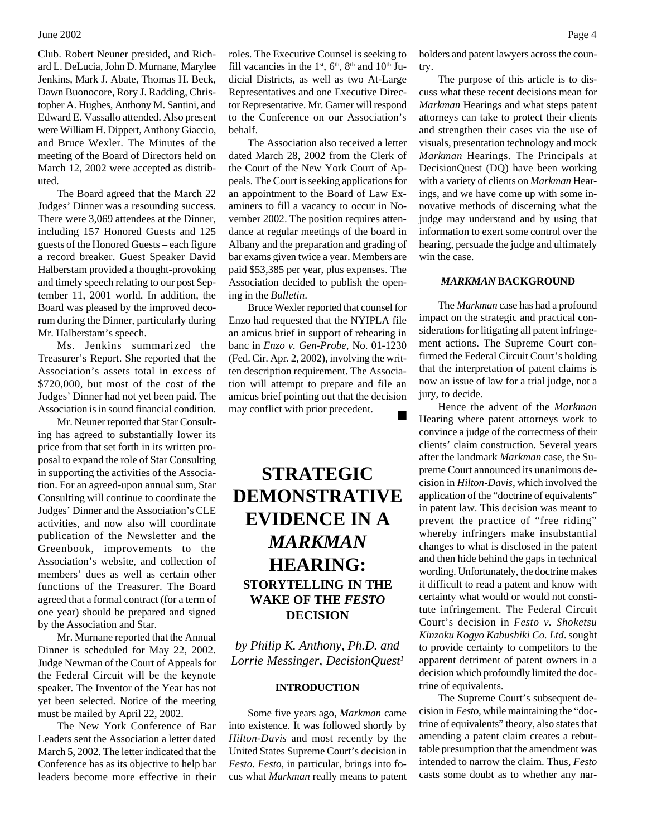Club. Robert Neuner presided, and Richard L. DeLucia, John D. Murnane, Marylee Jenkins, Mark J. Abate, Thomas H. Beck, Dawn Buonocore, Rory J. Radding, Christopher A. Hughes, Anthony M. Santini, and Edward E. Vassallo attended. Also present were William H. Dippert, Anthony Giaccio, and Bruce Wexler. The Minutes of the meeting of the Board of Directors held on March 12, 2002 were accepted as distributed.

The Board agreed that the March 22 Judges' Dinner was a resounding success. There were 3,069 attendees at the Dinner, including 157 Honored Guests and 125 guests of the Honored Guests – each figure a record breaker. Guest Speaker David Halberstam provided a thought-provoking and timely speech relating to our post September 11, 2001 world. In addition, the Board was pleased by the improved decorum during the Dinner, particularly during Mr. Halberstam's speech.

Ms. Jenkins summarized the Treasurer's Report. She reported that the Association's assets total in excess of \$720,000, but most of the cost of the Judges' Dinner had not yet been paid. The Association is in sound financial condition.

Mr. Neuner reported that Star Consulting has agreed to substantially lower its price from that set forth in its written proposal to expand the role of Star Consulting in supporting the activities of the Association. For an agreed-upon annual sum, Star Consulting will continue to coordinate the Judges' Dinner and the Association's CLE activities, and now also will coordinate publication of the Newsletter and the Greenbook, improvements to the Association's website, and collection of members' dues as well as certain other functions of the Treasurer. The Board agreed that a formal contract (for a term of one year) should be prepared and signed by the Association and Star.

Mr. Murnane reported that the Annual Dinner is scheduled for May 22, 2002. Judge Newman of the Court of Appeals for the Federal Circuit will be the keynote speaker. The Inventor of the Year has not yet been selected. Notice of the meeting must be mailed by April 22, 2002.

The New York Conference of Bar Leaders sent the Association a letter dated March 5, 2002. The letter indicated that the Conference has as its objective to help bar leaders become more effective in their

roles. The Executive Counsel is seeking to fill vacancies in the  $1<sup>st</sup>$ ,  $6<sup>th</sup>$ ,  $8<sup>th</sup>$  and  $10<sup>th</sup>$  Judicial Districts, as well as two At-Large Representatives and one Executive Director Representative. Mr. Garner will respond to the Conference on our Association's behalf.

The Association also received a letter dated March 28, 2002 from the Clerk of the Court of the New York Court of Appeals. The Court is seeking applications for an appointment to the Board of Law Examiners to fill a vacancy to occur in November 2002. The position requires attendance at regular meetings of the board in Albany and the preparation and grading of bar exams given twice a year. Members are paid \$53,385 per year, plus expenses. The Association decided to publish the opening in the *Bulletin*.

Bruce Wexler reported that counsel for Enzo had requested that the NYIPLA file an amicus brief in support of rehearing in banc in *Enzo v. Gen-Probe*, No. 01-1230 (Fed. Cir. Apr. 2, 2002), involving the written description requirement. The Association will attempt to prepare and file an amicus brief pointing out that the decision may conflict with prior precedent.

## **STRATEGIC DEMONSTRATIVE EVIDENCE IN A** *MARKMAN* **HEARING: STORYTELLING IN THE WAKE OF THE** *FESTO* **DECISION**

*by Philip K. Anthony, Ph.D. and Lorrie Messinger, DecisionQuest<sup>1</sup>*

### **INTRODUCTION**

Some five years ago, *Markman* came into existence. It was followed shortly by *Hilton-Davis* and most recently by the United States Supreme Court's decision in *Festo*. *Festo*, in particular, brings into focus what *Markman* really means to patent holders and patent lawyers across the country.

The purpose of this article is to discuss what these recent decisions mean for *Markman* Hearings and what steps patent attorneys can take to protect their clients and strengthen their cases via the use of visuals, presentation technology and mock *Markman* Hearings. The Principals at DecisionQuest (DQ) have been working with a variety of clients on *Markman* Hearings, and we have come up with some innovative methods of discerning what the judge may understand and by using that information to exert some control over the hearing, persuade the judge and ultimately win the case.

#### *MARKMAN* **BACKGROUND**

The *Markman* case has had a profound impact on the strategic and practical considerations for litigating all patent infringement actions. The Supreme Court confirmed the Federal Circuit Court's holding that the interpretation of patent claims is now an issue of law for a trial judge, not a jury, to decide.

Hence the advent of the *Markman* Hearing where patent attorneys work to convince a judge of the correctness of their clients' claim construction. Several years after the landmark *Markman* case, the Supreme Court announced its unanimous decision in *Hilton-Davis*, which involved the application of the "doctrine of equivalents" in patent law. This decision was meant to prevent the practice of "free riding" whereby infringers make insubstantial changes to what is disclosed in the patent and then hide behind the gaps in technical wording. Unfortunately, the doctrine makes it difficult to read a patent and know with certainty what would or would not constitute infringement. The Federal Circuit Court's decision in *Festo v. Shoketsu Kinzoku Kogyo Kabushiki Co. Ltd*. sought to provide certainty to competitors to the apparent detriment of patent owners in a decision which profoundly limited the doctrine of equivalents.

The Supreme Court's subsequent decision in *Festo,* while maintaining the "doctrine of equivalents" theory, also states that amending a patent claim creates a rebuttable presumption that the amendment was intended to narrow the claim. Thus, *Festo* casts some doubt as to whether any nar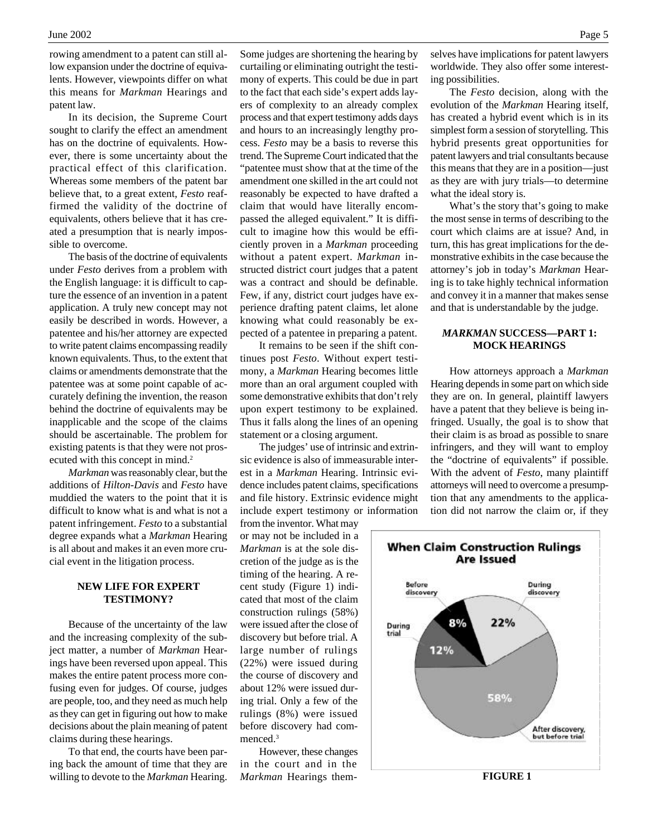rowing amendment to a patent can still allow expansion under the doctrine of equivalents. However, viewpoints differ on what this means for *Markman* Hearings and patent law.

In its decision, the Supreme Court sought to clarify the effect an amendment has on the doctrine of equivalents. However, there is some uncertainty about the practical effect of this clarification. Whereas some members of the patent bar believe that, to a great extent, *Festo* reaffirmed the validity of the doctrine of equivalents, others believe that it has created a presumption that is nearly impossible to overcome.

The basis of the doctrine of equivalents under *Festo* derives from a problem with the English language: it is difficult to capture the essence of an invention in a patent application. A truly new concept may not easily be described in words. However, a patentee and his/her attorney are expected to write patent claims encompassing readily known equivalents. Thus, to the extent that claims or amendments demonstrate that the patentee was at some point capable of accurately defining the invention, the reason behind the doctrine of equivalents may be inapplicable and the scope of the claims should be ascertainable. The problem for existing patents is that they were not prosecuted with this concept in mind.<sup>2</sup>

*Markman* was reasonably clear, but the additions of *Hilton-Davis* and *Festo* have muddied the waters to the point that it is difficult to know what is and what is not a patent infringement. *Festo* to a substantial degree expands what a *Markman* Hearing is all about and makes it an even more crucial event in the litigation process.

## **NEW LIFE FOR EXPERT TESTIMONY?**

Because of the uncertainty of the law and the increasing complexity of the subject matter, a number of *Markman* Hearings have been reversed upon appeal. This makes the entire patent process more confusing even for judges. Of course, judges are people, too, and they need as much help as they can get in figuring out how to make decisions about the plain meaning of patent claims during these hearings.

To that end, the courts have been paring back the amount of time that they are willing to devote to the *Markman* Hearing. Some judges are shortening the hearing by curtailing or eliminating outright the testimony of experts. This could be due in part to the fact that each side's expert adds layers of complexity to an already complex process and that expert testimony adds days and hours to an increasingly lengthy process. *Festo* may be a basis to reverse this trend. The Supreme Court indicated that the "patentee must show that at the time of the amendment one skilled in the art could not reasonably be expected to have drafted a claim that would have literally encompassed the alleged equivalent." It is difficult to imagine how this would be efficiently proven in a *Markman* proceeding without a patent expert. *Markman* instructed district court judges that a patent was a contract and should be definable. Few, if any, district court judges have experience drafting patent claims, let alone knowing what could reasonably be expected of a patentee in preparing a patent.

It remains to be seen if the shift continues post *Festo*. Without expert testimony, a *Markman* Hearing becomes little more than an oral argument coupled with some demonstrative exhibits that don't rely upon expert testimony to be explained. Thus it falls along the lines of an opening statement or a closing argument.

The judges' use of intrinsic and extrinsic evidence is also of immeasurable interest in a *Markman* Hearing. Intrinsic evidence includes patent claims, specifications and file history. Extrinsic evidence might include expert testimony or information

from the inventor. What may or may not be included in a *Markman* is at the sole discretion of the judge as is the timing of the hearing. A recent study (Figure 1) indicated that most of the claim construction rulings (58%) were issued after the close of discovery but before trial. A large number of rulings (22%) were issued during the course of discovery and about 12% were issued during trial. Only a few of the rulings (8%) were issued before discovery had commenced.<sup>3</sup>

However, these changes in the court and in the *Markman* Hearings them-

selves have implications for patent lawyers worldwide. They also offer some interesting possibilities.

The *Festo* decision, along with the evolution of the *Markman* Hearing itself, has created a hybrid event which is in its simplest form a session of storytelling. This hybrid presents great opportunities for patent lawyers and trial consultants because this means that they are in a position—just as they are with jury trials—to determine what the ideal story is.

What's the story that's going to make the most sense in terms of describing to the court which claims are at issue? And, in turn, this has great implications for the demonstrative exhibits in the case because the attorney's job in today's *Markman* Hearing is to take highly technical information and convey it in a manner that makes sense and that is understandable by the judge.

## *MARKMAN* **SUCCESS—PART 1: MOCK HEARINGS**

How attorneys approach a *Markman* Hearing depends in some part on which side they are on. In general, plaintiff lawyers have a patent that they believe is being infringed. Usually, the goal is to show that their claim is as broad as possible to snare infringers, and they will want to employ the "doctrine of equivalents" if possible. With the advent of *Festo*, many plaintiff attorneys will need to overcome a presumption that any amendments to the application did not narrow the claim or, if they

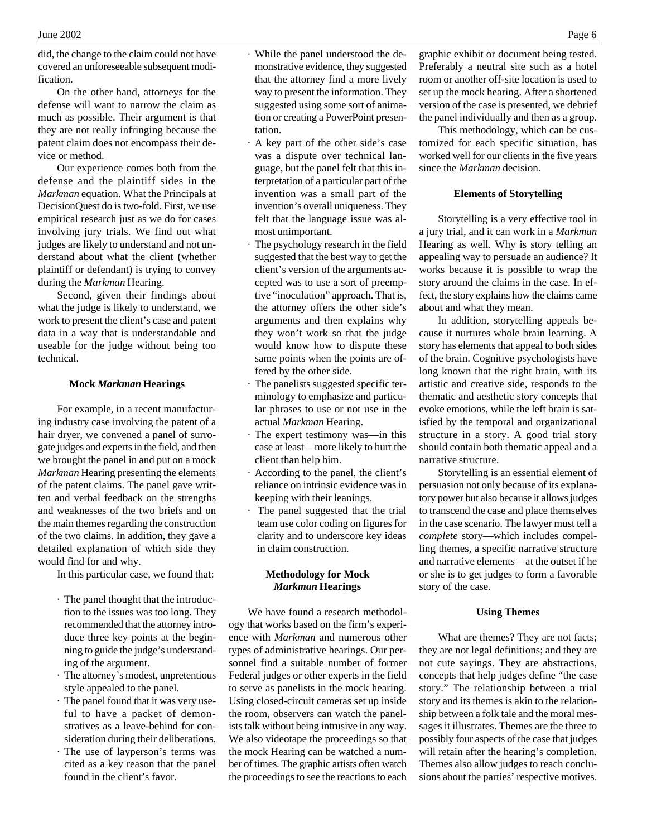did, the change to the claim could not have covered an unforeseeable subsequent modification.

On the other hand, attorneys for the defense will want to narrow the claim as much as possible. Their argument is that they are not really infringing because the patent claim does not encompass their device or method.

Our experience comes both from the defense and the plaintiff sides in the *Markman* equation. What the Principals at DecisionQuest do is two-fold. First, we use empirical research just as we do for cases involving jury trials. We find out what judges are likely to understand and not understand about what the client (whether plaintiff or defendant) is trying to convey during the *Markman* Hearing.

Second, given their findings about what the judge is likely to understand, we work to present the client's case and patent data in a way that is understandable and useable for the judge without being too technical.

#### **Mock** *Markman* **Hearings**

For example, in a recent manufacturing industry case involving the patent of a hair dryer, we convened a panel of surrogate judges and experts in the field, and then we brought the panel in and put on a mock *Markman* Hearing presenting the elements of the patent claims. The panel gave written and verbal feedback on the strengths and weaknesses of the two briefs and on the main themes regarding the construction of the two claims. In addition, they gave a detailed explanation of which side they would find for and why.

In this particular case, we found that:

- · The panel thought that the introduction to the issues was too long. They recommended that the attorney introduce three key points at the beginning to guide the judge's understanding of the argument.
- · The attorney's modest, unpretentious style appealed to the panel.
- · The panel found that it was very useful to have a packet of demonstratives as a leave-behind for consideration during their deliberations.
- · The use of layperson's terms was cited as a key reason that the panel found in the client's favor.
- · While the panel understood the demonstrative evidence, they suggested that the attorney find a more lively way to present the information. They suggested using some sort of animation or creating a PowerPoint presentation.
- · A key part of the other side's case was a dispute over technical language, but the panel felt that this interpretation of a particular part of the invention was a small part of the invention's overall uniqueness. They felt that the language issue was almost unimportant.
- The psychology research in the field suggested that the best way to get the client's version of the arguments accepted was to use a sort of preemptive "inoculation" approach. That is, the attorney offers the other side's arguments and then explains why they won't work so that the judge would know how to dispute these same points when the points are offered by the other side.
- The panelists suggested specific terminology to emphasize and particular phrases to use or not use in the actual *Markman* Hearing.
- The expert testimony was—in this case at least—more likely to hurt the client than help him.
- · According to the panel, the client's reliance on intrinsic evidence was in keeping with their leanings.
- · The panel suggested that the trial team use color coding on figures for clarity and to underscore key ideas in claim construction.

### **Methodology for Mock** *Markman* **Hearings**

We have found a research methodology that works based on the firm's experience with *Markman* and numerous other types of administrative hearings. Our personnel find a suitable number of former Federal judges or other experts in the field to serve as panelists in the mock hearing. Using closed-circuit cameras set up inside the room, observers can watch the panelists talk without being intrusive in any way. We also videotape the proceedings so that the mock Hearing can be watched a number of times. The graphic artists often watch the proceedings to see the reactions to each

graphic exhibit or document being tested. Preferably a neutral site such as a hotel room or another off-site location is used to set up the mock hearing. After a shortened version of the case is presented, we debrief the panel individually and then as a group.

This methodology, which can be customized for each specific situation, has worked well for our clients in the five years since the *Markman* decision.

### **Elements of Storytelling**

Storytelling is a very effective tool in a jury trial, and it can work in a *Markman* Hearing as well. Why is story telling an appealing way to persuade an audience? It works because it is possible to wrap the story around the claims in the case. In effect, the story explains how the claims came about and what they mean.

In addition, storytelling appeals because it nurtures whole brain learning. A story has elements that appeal to both sides of the brain. Cognitive psychologists have long known that the right brain, with its artistic and creative side, responds to the thematic and aesthetic story concepts that evoke emotions, while the left brain is satisfied by the temporal and organizational structure in a story. A good trial story should contain both thematic appeal and a narrative structure.

Storytelling is an essential element of persuasion not only because of its explanatory power but also because it allows judges to transcend the case and place themselves in the case scenario. The lawyer must tell a *complete* story—which includes compelling themes, a specific narrative structure and narrative elements—at the outset if he or she is to get judges to form a favorable story of the case.

#### **Using Themes**

What are themes? They are not facts; they are not legal definitions; and they are not cute sayings. They are abstractions, concepts that help judges define "the case story." The relationship between a trial story and its themes is akin to the relationship between a folk tale and the moral messages it illustrates. Themes are the three to possibly four aspects of the case that judges will retain after the hearing's completion. Themes also allow judges to reach conclusions about the parties' respective motives.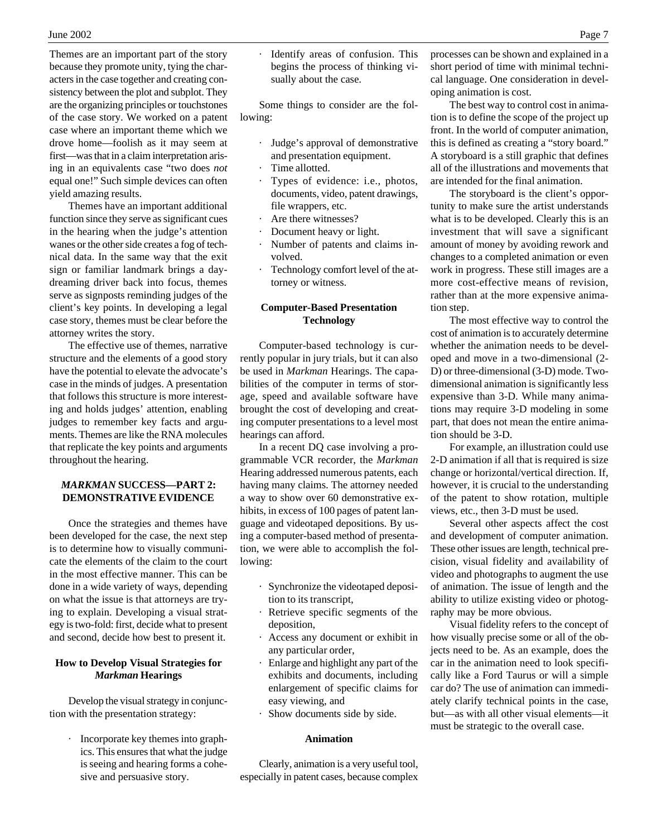Themes are an important part of the story because they promote unity, tying the characters in the case together and creating consistency between the plot and subplot. They are the organizing principles or touchstones of the case story. We worked on a patent case where an important theme which we drove home—foolish as it may seem at first—was that in a claim interpretation arising in an equivalents case "two does *not* equal one!" Such simple devices can often yield amazing results.

Themes have an important additional function since they serve as significant cues in the hearing when the judge's attention wanes or the other side creates a fog of technical data. In the same way that the exit sign or familiar landmark brings a daydreaming driver back into focus, themes serve as signposts reminding judges of the client's key points. In developing a legal case story, themes must be clear before the attorney writes the story.

The effective use of themes, narrative structure and the elements of a good story have the potential to elevate the advocate's case in the minds of judges. A presentation that follows this structure is more interesting and holds judges' attention, enabling judges to remember key facts and arguments. Themes are like the RNA molecules that replicate the key points and arguments throughout the hearing.

## *MARKMAN* **SUCCESS—PART 2: DEMONSTRATIVE EVIDENCE**

Once the strategies and themes have been developed for the case, the next step is to determine how to visually communicate the elements of the claim to the court in the most effective manner. This can be done in a wide variety of ways, depending on what the issue is that attorneys are trying to explain. Developing a visual strategy is two-fold: first, decide what to present and second, decide how best to present it.

## **How to Develop Visual Strategies for** *Markman* **Hearings**

Develop the visual strategy in conjunction with the presentation strategy:

> · Incorporate key themes into graphics. This ensures that what the judge is seeing and hearing forms a cohesive and persuasive story.

Identify areas of confusion. This begins the process of thinking visually about the case.

Some things to consider are the following:

- Judge's approval of demonstrative and presentation equipment.
- Time allotted.
- Types of evidence: i.e., photos, documents, video, patent drawings, file wrappers, etc.
- · Are there witnesses?
- Document heavy or light.
- Number of patents and claims involved.
- Technology comfort level of the attorney or witness.

## **Computer-Based Presentation Technology**

Computer-based technology is currently popular in jury trials, but it can also be used in *Markman* Hearings. The capabilities of the computer in terms of storage, speed and available software have brought the cost of developing and creating computer presentations to a level most hearings can afford.

In a recent DQ case involving a programmable VCR recorder, the *Markman* Hearing addressed numerous patents, each having many claims. The attorney needed a way to show over 60 demonstrative exhibits, in excess of 100 pages of patent language and videotaped depositions. By using a computer-based method of presentation, we were able to accomplish the following:

- · Synchronize the videotaped deposition to its transcript,
- Retrieve specific segments of the deposition,
- Access any document or exhibit in any particular order,
- Enlarge and highlight any part of the exhibits and documents, including enlargement of specific claims for easy viewing, and
- Show documents side by side.

## **Animation**

Clearly, animation is a very useful tool, especially in patent cases, because complex processes can be shown and explained in a short period of time with minimal technical language. One consideration in developing animation is cost.

The best way to control cost in animation is to define the scope of the project up front. In the world of computer animation, this is defined as creating a "story board." A storyboard is a still graphic that defines all of the illustrations and movements that are intended for the final animation.

The storyboard is the client's opportunity to make sure the artist understands what is to be developed. Clearly this is an investment that will save a significant amount of money by avoiding rework and changes to a completed animation or even work in progress. These still images are a more cost-effective means of revision, rather than at the more expensive animation step.

The most effective way to control the cost of animation is to accurately determine whether the animation needs to be developed and move in a two-dimensional (2- D) or three-dimensional (3-D) mode. Twodimensional animation is significantly less expensive than 3-D. While many animations may require 3-D modeling in some part, that does not mean the entire animation should be 3-D.

For example, an illustration could use 2-D animation if all that is required is size change or horizontal/vertical direction. If, however, it is crucial to the understanding of the patent to show rotation, multiple views, etc., then 3-D must be used.

Several other aspects affect the cost and development of computer animation. These other issues are length, technical precision, visual fidelity and availability of video and photographs to augment the use of animation. The issue of length and the ability to utilize existing video or photography may be more obvious.

Visual fidelity refers to the concept of how visually precise some or all of the objects need to be. As an example, does the car in the animation need to look specifically like a Ford Taurus or will a simple car do? The use of animation can immediately clarify technical points in the case, but—as with all other visual elements—it must be strategic to the overall case.